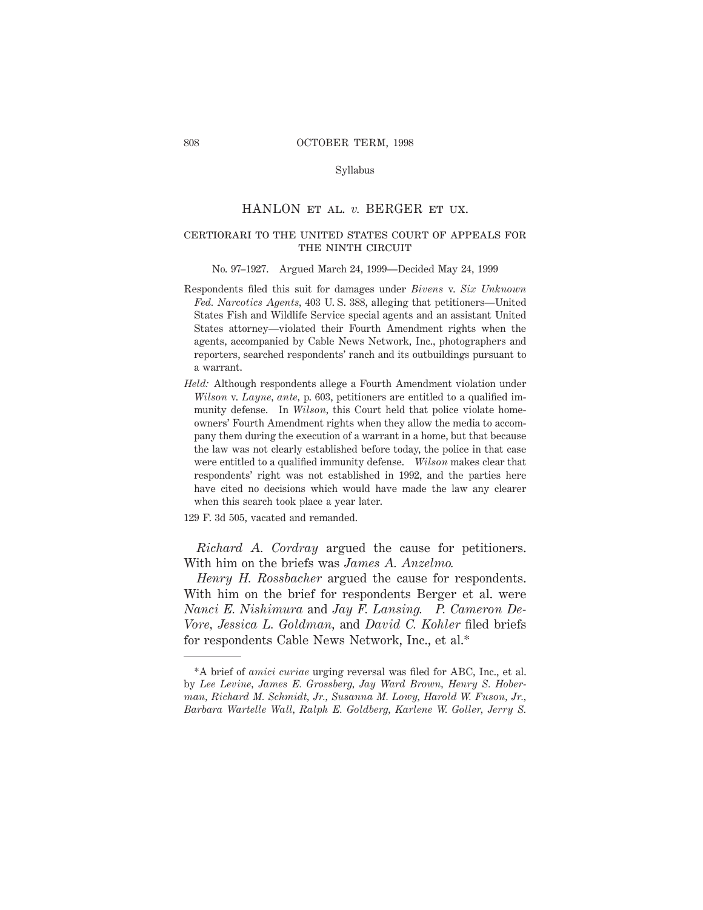### Syllabus

# HANLON et al. *v.* BERGER et ux.

# certiorari to the united states court of appeals for THE NINTH CIRCUIT

#### No. 97–1927. Argued March 24, 1999—Decided May 24, 1999

- Respondents filed this suit for damages under *Bivens* v. *Six Unknown Fed. Narcotics Agents,* 403 U. S. 388, alleging that petitioners—United States Fish and Wildlife Service special agents and an assistant United States attorney—violated their Fourth Amendment rights when the agents, accompanied by Cable News Network, Inc., photographers and reporters, searched respondents' ranch and its outbuildings pursuant to a warrant.
- *Held:* Although respondents allege a Fourth Amendment violation under *Wilson* v. *Layne, ante,* p. 603, petitioners are entitled to a qualified immunity defense. In *Wilson,* this Court held that police violate homeowners' Fourth Amendment rights when they allow the media to accompany them during the execution of a warrant in a home, but that because the law was not clearly established before today, the police in that case were entitled to a qualified immunity defense. *Wilson* makes clear that respondents' right was not established in 1992, and the parties here have cited no decisions which would have made the law any clearer when this search took place a year later.

129 F. 3d 505, vacated and remanded.

*Richard A. Cordray* argued the cause for petitioners. With him on the briefs was *James A. Anzelmo.*

*Henry H. Rossbacher* argued the cause for respondents. With him on the brief for respondents Berger et al. were *Nanci E. Nishimura* and *Jay F. Lansing. P. Cameron De-Vore, Jessica L. Goldman,* and *David C. Kohler* filed briefs for respondents Cable News Network, Inc., et al.\*

<sup>\*</sup>A brief of *amici curiae* urging reversal was filed for ABC, Inc., et al. by *Lee Levine, James E. Grossberg, Jay Ward Brown, Henry S. Hoberman, Richard M. Schmidt, Jr., Susanna M. Lowy, Harold W. Fuson, Jr., Barbara Wartelle Wall, Ralph E. Goldberg, Karlene W. Goller, Jerry S.*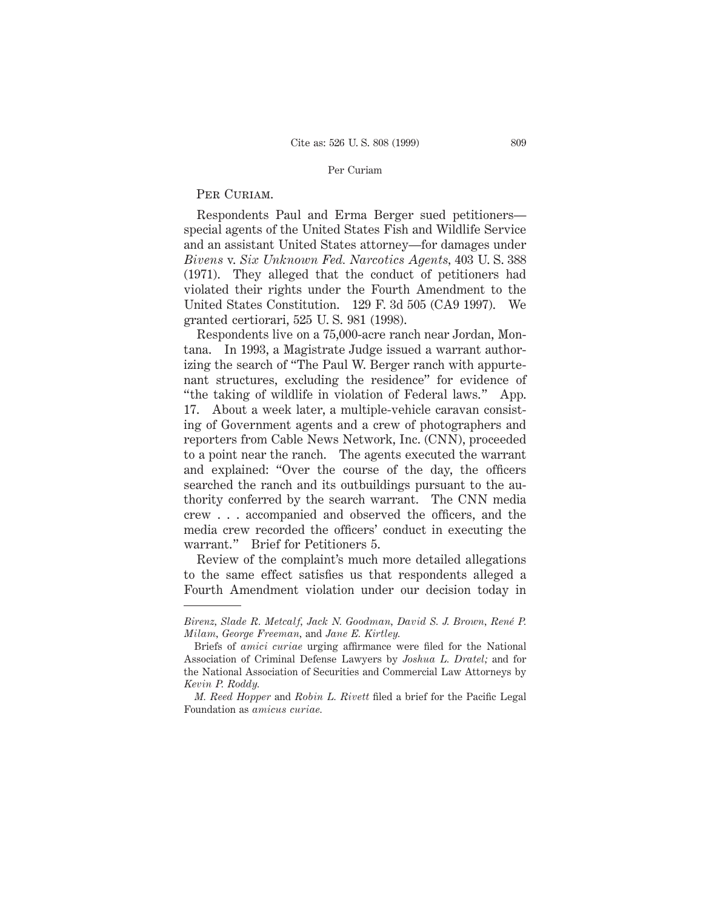#### Per Curiam

# PER CURIAM.

Respondents Paul and Erma Berger sued petitioners special agents of the United States Fish and Wildlife Service and an assistant United States attorney—for damages under *Bivens* v. *Six Unknown Fed. Narcotics Agents,* 403 U. S. 388 (1971). They alleged that the conduct of petitioners had violated their rights under the Fourth Amendment to the United States Constitution. 129 F. 3d 505 (CA9 1997). We granted certiorari, 525 U. S. 981 (1998).

Respondents live on a 75,000-acre ranch near Jordan, Montana. In 1993, a Magistrate Judge issued a warrant authorizing the search of "The Paul W. Berger ranch with appurtenant structures, excluding the residence" for evidence of "the taking of wildlife in violation of Federal laws." App. 17. About a week later, a multiple-vehicle caravan consisting of Government agents and a crew of photographers and reporters from Cable News Network, Inc. (CNN), proceeded to a point near the ranch. The agents executed the warrant and explained: "Over the course of the day, the officers searched the ranch and its outbuildings pursuant to the authority conferred by the search warrant. The CNN media crew . . . accompanied and observed the officers, and the media crew recorded the officers' conduct in executing the warrant." Brief for Petitioners 5.

Review of the complaint's much more detailed allegations to the same effect satisfies us that respondents alleged a Fourth Amendment violation under our decision today in

*Birenz, Slade R. Metcalf, Jack N. Goodman, David S. J. Brown, Rene´ P. Milam, George Freeman,* and *Jane E. Kirtley.*

Briefs of *amici curiae* urging affirmance were filed for the National Association of Criminal Defense Lawyers by *Joshua L. Dratel;* and for the National Association of Securities and Commercial Law Attorneys by *Kevin P. Roddy.*

*M. Reed Hopper* and *Robin L. Rivett* filed a brief for the Pacific Legal Foundation as *amicus curiae.*